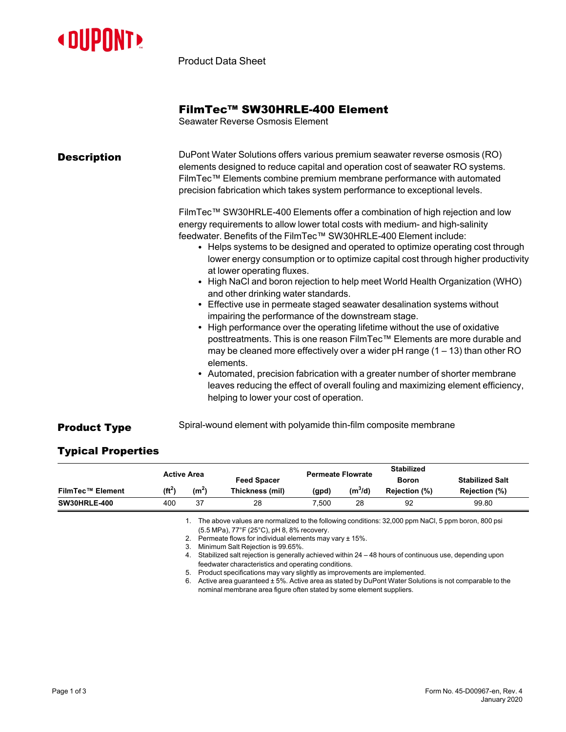

Product Data Sheet

## FilmTec™ SW30HRLE-400 Element

Seawater Reverse Osmosis Element

| <b>Description</b> | DuPont Water Solutions offers various premium seawater reverse osmosis (RO)<br>elements designed to reduce capital and operation cost of seawater RO systems.<br>FilmTec™ Elements combine premium membrane performance with automated<br>precision fabrication which takes system performance to exceptional levels.                                                                                                                                                                                                                                                                                                                                                                                                                                                                                                                                                                                                                                                                                                                                                                                                                                                        |
|--------------------|------------------------------------------------------------------------------------------------------------------------------------------------------------------------------------------------------------------------------------------------------------------------------------------------------------------------------------------------------------------------------------------------------------------------------------------------------------------------------------------------------------------------------------------------------------------------------------------------------------------------------------------------------------------------------------------------------------------------------------------------------------------------------------------------------------------------------------------------------------------------------------------------------------------------------------------------------------------------------------------------------------------------------------------------------------------------------------------------------------------------------------------------------------------------------|
|                    | FilmTec™ SW30HRLE-400 Elements offer a combination of high rejection and low<br>energy requirements to allow lower total costs with medium- and high-salinity<br>feedwater. Benefits of the FilmTec™ SW30HRLE-400 Element include:<br>• Helps systems to be designed and operated to optimize operating cost through<br>lower energy consumption or to optimize capital cost through higher productivity<br>at lower operating fluxes.<br>• High NaCl and boron rejection to help meet World Health Organization (WHO)<br>and other drinking water standards.<br>• Effective use in permeate staged seawater desalination systems without<br>impairing the performance of the downstream stage.<br>• High performance over the operating lifetime without the use of oxidative<br>posttreatments. This is one reason FilmTec™ Elements are more durable and<br>may be cleaned more effectively over a wider $pH$ range $(1 – 13)$ than other RO<br>elements.<br>• Automated, precision fabrication with a greater number of shorter membrane<br>leaves reducing the effect of overall fouling and maximizing element efficiency,<br>helping to lower your cost of operation. |

**Product Type** Spiral-wound element with polyamide thin-film composite membrane

## Typical Properties

|                         |           | <b>Active Area</b> | <b>Feed Spacer</b> | <b>Permeate Flowrate</b> | <b>Stabilized</b><br>Boron |                      | <b>Stabilized Salt</b> |
|-------------------------|-----------|--------------------|--------------------|--------------------------|----------------------------|----------------------|------------------------|
| <b>FilmTec™ Element</b> | $(f t^2)$ | (m <sup>2</sup> )  | Thickness (mil)    | (gpd)                    | $(m^3/d)$                  | <b>Rejection (%)</b> | Rejection (%)          |
| <b>SW30HRLE-400</b>     | 400       | -37                | 28                 | 7.500                    | 28                         | 92                   | 99.80                  |

1. The above values are normalized to the following conditions: 32,000 ppm NaCl, 5 ppm boron, 800 psi (5.5 MPa), 77°F (25°C), pH 8, 8% recovery.

2. Permeate flows for individual elements may vary ± 15%.

3. Minimum Salt Rejection is 99.65%.

4. Stabilized salt rejection is generally achieved within 24 – 48 hours of continuous use, depending upon feedwater characteristics and operating conditions.

5. Product specifications may vary slightly as improvements are implemented.

6. Active area guaranteed ± 5%. Active area as stated by DuPont Water Solutions is not comparable to the nominal membrane area figure often stated by some element suppliers.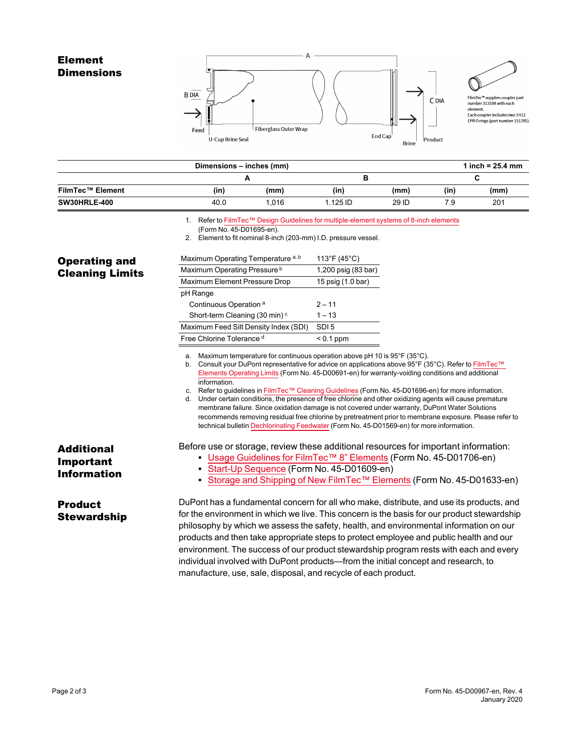## Element **Dimensions**





FilmTec<sup>ns</sup> supplies coupler part<br>number 313198 with each<br>element.<br>Each coupler includes two 3<del>9</del>12<br>EPR O-rings (part number 151705).

|                         | Dimensions - inches (mm) |       |          |       |      | 1 inch = $25.4 \, \text{mm}$ |
|-------------------------|--------------------------|-------|----------|-------|------|------------------------------|
|                         |                          |       |          |       |      |                              |
| <b>FilmTec™ Element</b> | (in)                     | (mm)  | (in)     | (mm)  | (in) | (mm)                         |
| <b>SW30HRLE-400</b>     | 40.0                     | 1.016 | 1.125 ID | 29 ID | 7.9  | 201                          |

1. Refer to FilmTec™ Design Guidelines for [multiple-element](https://www.dupont.com/content/dam/dupont/amer/us/en/water-solutions/public/documents/en/RO-NF-FilmTec-Membrane-Sys-Design-Guidelines-8inch-Manual-Exc-45-D01695-en.pdf) systems of 8-inch elements

2. Element to fit nominal 8-inch (203-mm) I.D. pressure vessel.

| <b>Operating and</b>                                 | Maximum Operating Temperature a, b                                                          | 113°F (45°C)                                                                                                                                                                                                                                                                                                                                                                                                                                                                                                                                                                                                                                                                                                                             |
|------------------------------------------------------|---------------------------------------------------------------------------------------------|------------------------------------------------------------------------------------------------------------------------------------------------------------------------------------------------------------------------------------------------------------------------------------------------------------------------------------------------------------------------------------------------------------------------------------------------------------------------------------------------------------------------------------------------------------------------------------------------------------------------------------------------------------------------------------------------------------------------------------------|
| <b>Cleaning Limits</b>                               | Maximum Operating Pressure <sup>b</sup>                                                     | 1,200 psig (83 bar)                                                                                                                                                                                                                                                                                                                                                                                                                                                                                                                                                                                                                                                                                                                      |
|                                                      | Maximum Element Pressure Drop                                                               | 15 psig (1.0 bar)                                                                                                                                                                                                                                                                                                                                                                                                                                                                                                                                                                                                                                                                                                                        |
|                                                      | pH Range                                                                                    |                                                                                                                                                                                                                                                                                                                                                                                                                                                                                                                                                                                                                                                                                                                                          |
|                                                      | Continuous Operation <sup>a</sup>                                                           | $2 - 11$                                                                                                                                                                                                                                                                                                                                                                                                                                                                                                                                                                                                                                                                                                                                 |
|                                                      | Short-term Cleaning (30 min) <sup>c</sup>                                                   | $1 - 13$                                                                                                                                                                                                                                                                                                                                                                                                                                                                                                                                                                                                                                                                                                                                 |
|                                                      | Maximum Feed Silt Density Index (SDI)                                                       | SDI <sub>5</sub>                                                                                                                                                                                                                                                                                                                                                                                                                                                                                                                                                                                                                                                                                                                         |
|                                                      | Free Chlorine Tolerance d                                                                   | $< 0.1$ ppm                                                                                                                                                                                                                                                                                                                                                                                                                                                                                                                                                                                                                                                                                                                              |
|                                                      | a. Maximum temperature for continuous operation above pH 10 is 95°F (35°C).<br>information. | b. Consult your DuPont representative for advice on applications above 95°F (35°C). Refer to FilmTec™<br>Elements Operating Limits (Form No. 45-D00691-en) for warranty-voiding conditions and additional<br>c. Refer to guidelines in FilmTec™ Cleaning Guidelines (Form No. 45-D01696-en) for more information.<br>d. Under certain conditions, the presence of free chlorine and other oxidizing agents will cause premature<br>membrane failure. Since oxidation damage is not covered under warranty, DuPont Water Solutions<br>recommends removing residual free chlorine by pretreatment prior to membrane exposure. Please refer to<br>technical bulletin Dechlorinating Feedwater (Form No. 45-D01569-en) for more information. |
| <b>Additional</b><br>Important<br><b>Information</b> | • Start-Up Sequence (Form No. 45-D01609-en)                                                 | Before use or storage, review these additional resources for important information:<br>• Usage Guidelines for FilmTec <sup>TM</sup> 8" Elements (Form No. 45-D01706-en)<br>Storage and Shipping of New FilmTec™ Elements (Form No. 45-D01633-en)                                                                                                                                                                                                                                                                                                                                                                                                                                                                                         |
| <b>Product</b><br><b>Stewardship</b>                 | manufacture, use, sale, disposal, and recycle of each product.                              | DuPont has a fundamental concern for all who make, distribute, and use its products, and<br>for the environment in which we live. This concern is the basis for our product stewardship<br>philosophy by which we assess the safety, health, and environmental information on our<br>products and then take appropriate steps to protect employee and public health and our<br>environment. The success of our product stewardship program rests with each and every<br>individual involved with DuPont products-from the initial concept and research, to                                                                                                                                                                               |

<sup>(</sup>Form No. 45-D01695-en).